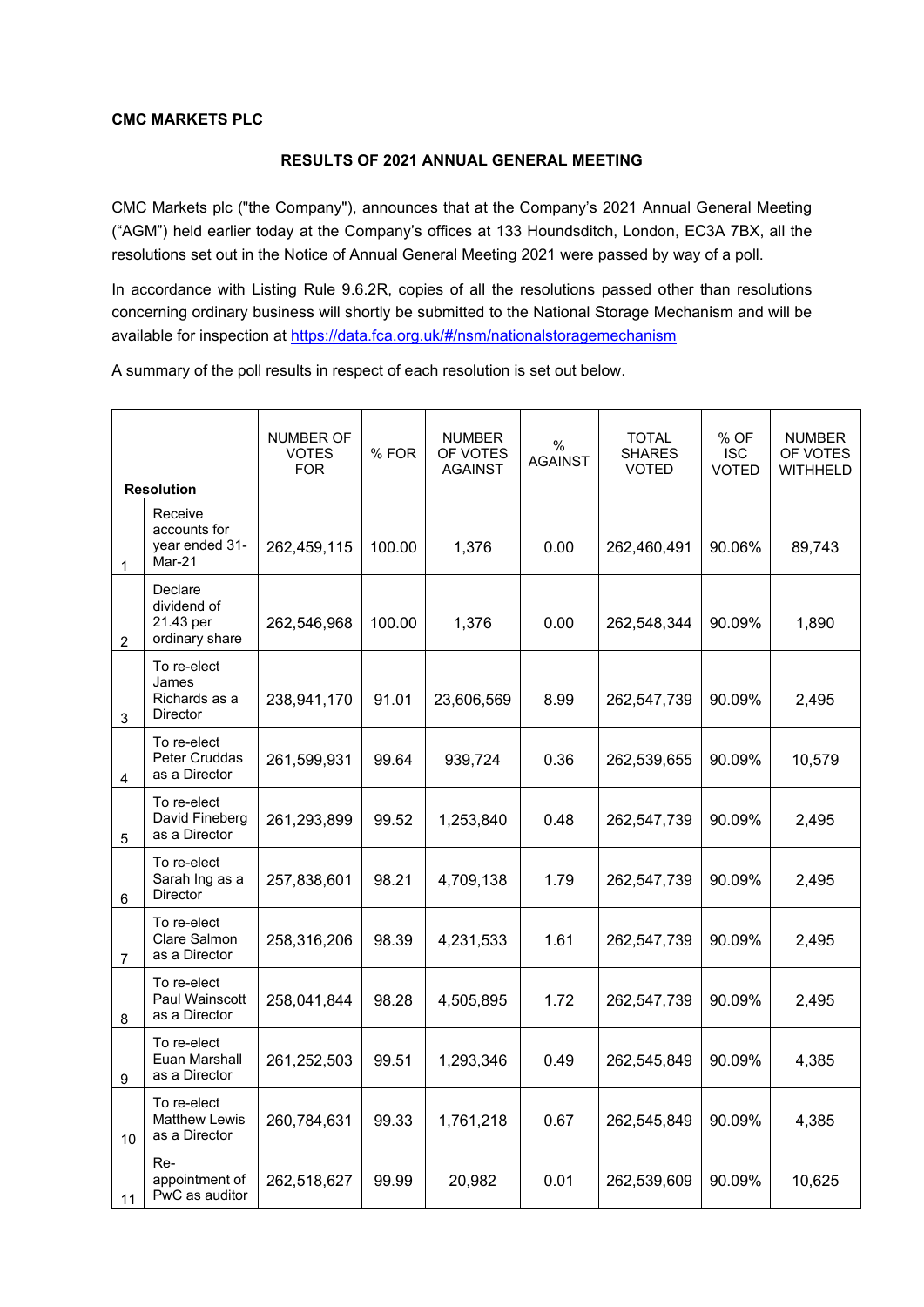## **CMC MARKETS PLC**

## **RESULTS OF 2021 ANNUAL GENERAL MEETING**

CMC Markets plc ("the Company"), announces that at the Company's 2021 Annual General Meeting ("AGM") held earlier today at the Company's offices at 133 Houndsditch, London, EC3A 7BX, all the resolutions set out in the Notice of Annual General Meeting 2021 were passed by way of a poll.

In accordance with Listing Rule 9.6.2R, copies of all the resolutions passed other than resolutions concerning ordinary business will shortly be submitted to the National Storage Mechanism and will be available for inspection at<https://data.fca.org.uk/#/nsm/nationalstoragemechanism>

A summary of the poll results in respect of each resolution is set out below.

|    | <b>Resolution</b>                                        | NUMBER OF<br><b>VOTES</b><br><b>FOR</b> | %FOR   | <b>NUMBER</b><br>OF VOTES<br><b>AGAINST</b> | $\%$<br><b>AGAINST</b> | <b>TOTAL</b><br><b>SHARES</b><br><b>VOTED</b> | % OF<br><b>ISC</b><br><b>VOTED</b> | <b>NUMBER</b><br>OF VOTES<br>WITHHELD |
|----|----------------------------------------------------------|-----------------------------------------|--------|---------------------------------------------|------------------------|-----------------------------------------------|------------------------------------|---------------------------------------|
| 1  | Receive<br>accounts for<br>year ended 31-<br>Mar-21      | 262,459,115                             | 100.00 | 1,376                                       | 0.00                   | 262,460,491                                   | 90.06%                             | 89,743                                |
| 2  | Declare<br>dividend of<br>21.43 per<br>ordinary share    | 262,546,968                             | 100.00 | 1,376                                       | 0.00                   | 262,548,344                                   | 90.09%                             | 1,890                                 |
| 3  | To re-elect<br>James<br>Richards as a<br><b>Director</b> | 238,941,170                             | 91.01  | 23,606,569                                  | 8.99                   | 262,547,739                                   | 90.09%                             | 2,495                                 |
| 4  | To re-elect<br><b>Peter Cruddas</b><br>as a Director     | 261,599,931                             | 99.64  | 939,724                                     | 0.36                   | 262,539,655                                   | 90.09%                             | 10,579                                |
| 5  | To re-elect<br>David Fineberg<br>as a Director           | 261,293,899                             | 99.52  | 1,253,840                                   | 0.48                   | 262,547,739                                   | 90.09%                             | 2,495                                 |
| 6  | To re-elect<br>Sarah Ing as a<br>Director                | 257,838,601                             | 98.21  | 4,709,138                                   | 1.79                   | 262,547,739                                   | 90.09%                             | 2,495                                 |
| 7  | To re-elect<br>Clare Salmon<br>as a Director             | 258,316,206                             | 98.39  | 4,231,533                                   | 1.61                   | 262,547,739                                   | 90.09%                             | 2,495                                 |
| 8  | To re-elect<br>Paul Wainscott<br>as a Director           | 258,041,844                             | 98.28  | 4,505,895                                   | 1.72                   | 262,547,739                                   | 90.09%                             | 2,495                                 |
| 9  | To re-elect<br>Euan Marshall<br>as a Director            | 261,252,503                             | 99.51  | 1,293,346                                   | 0.49                   | 262,545,849                                   | 90.09%                             | 4,385                                 |
| 10 | To re-elect<br><b>Matthew Lewis</b><br>as a Director     | 260,784,631                             | 99.33  | 1,761,218                                   | 0.67                   | 262,545,849                                   | 90.09%                             | 4,385                                 |
| 11 | Re-<br>appointment of<br>PwC as auditor                  | 262,518,627                             | 99.99  | 20,982                                      | 0.01                   | 262,539,609                                   | 90.09%                             | 10,625                                |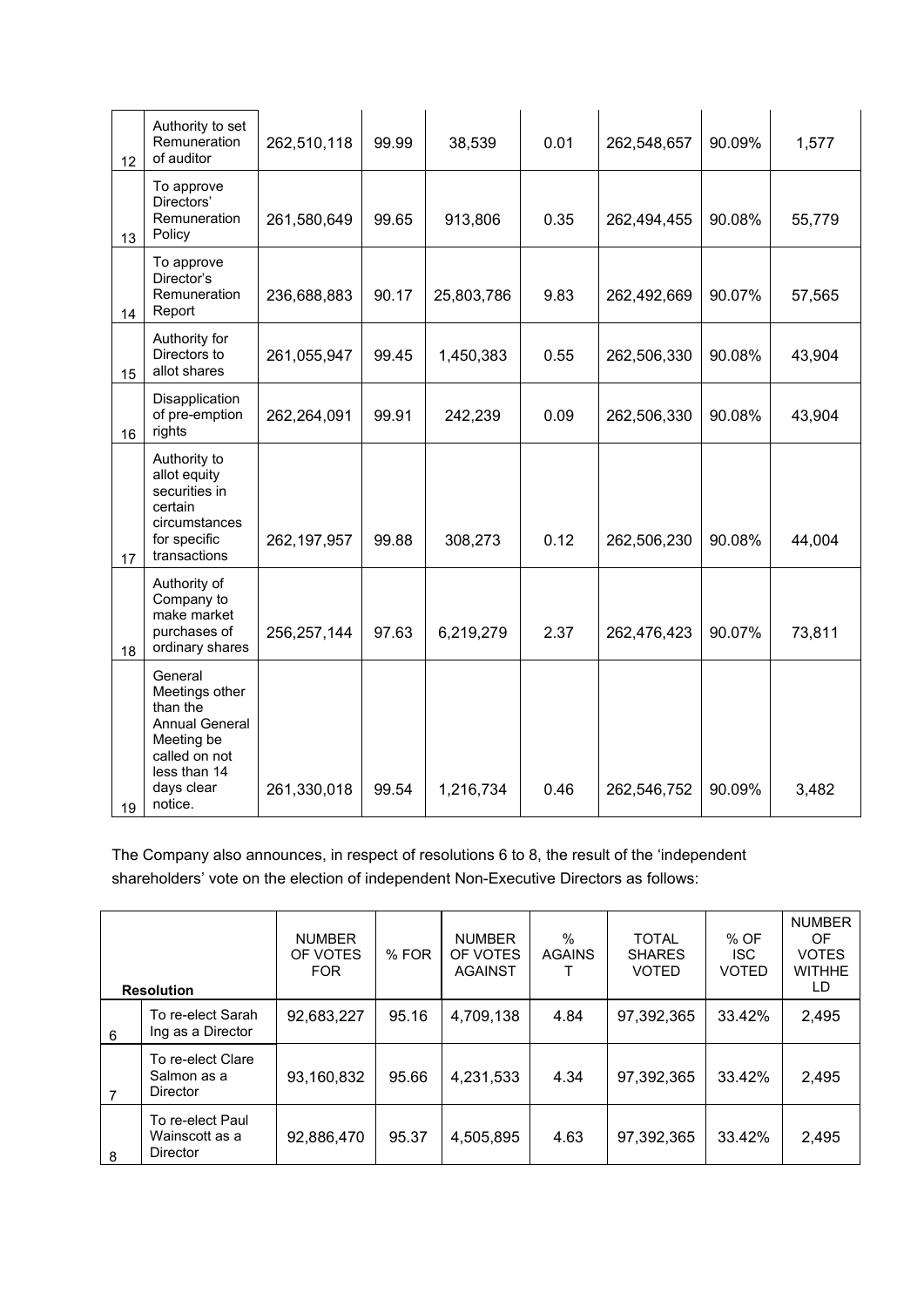| 12 | Authority to set<br>Remuneration<br>of auditor                                                                                         | 262,510,118   | 99.99 | 38,539     | 0.01 | 262,548,657 | 90.09% | 1,577  |
|----|----------------------------------------------------------------------------------------------------------------------------------------|---------------|-------|------------|------|-------------|--------|--------|
| 13 | To approve<br>Directors'<br>Remuneration<br>Policy                                                                                     | 261,580,649   | 99.65 | 913,806    | 0.35 | 262,494,455 | 90.08% | 55,779 |
| 14 | To approve<br>Director's<br>Remuneration<br>Report                                                                                     | 236,688,883   | 90.17 | 25,803,786 | 9.83 | 262,492,669 | 90.07% | 57,565 |
| 15 | Authority for<br>Directors to<br>allot shares                                                                                          | 261,055,947   | 99.45 | 1,450,383  | 0.55 | 262,506,330 | 90.08% | 43,904 |
| 16 | Disapplication<br>of pre-emption<br>rights                                                                                             | 262,264,091   | 99.91 | 242,239    | 0.09 | 262,506,330 | 90.08% | 43,904 |
| 17 | Authority to<br>allot equity<br>securities in<br>certain<br>circumstances<br>for specific<br>transactions                              | 262, 197, 957 | 99.88 | 308,273    | 0.12 | 262,506,230 | 90.08% | 44,004 |
| 18 | Authority of<br>Company to<br>make market<br>purchases of<br>ordinary shares                                                           | 256,257,144   | 97.63 | 6,219,279  | 2.37 | 262,476,423 | 90.07% | 73,811 |
| 19 | General<br>Meetings other<br>than the<br><b>Annual General</b><br>Meeting be<br>called on not<br>less than 14<br>days clear<br>notice. | 261,330,018   | 99.54 | 1,216,734  | 0.46 | 262,546,752 | 90.09% | 3,482  |

The Company also announces, in respect of resolutions 6 to 8, the result of the 'independent shareholders' vote on the election of independent Non-Executive Directors as follows:

|   | <b>Resolution</b>                                     | <b>NUMBER</b><br>OF VOTES<br><b>FOR</b> | % FOR | <b>NUMBER</b><br>OF VOTES<br>AGAINST | $\%$<br><b>AGAINS</b> | <b>TOTAL</b><br><b>SHARES</b><br><b>VOTED</b> | % OF<br><b>ISC</b><br><b>VOTED</b> | <b>NUMBER</b><br>OF<br><b>VOTES</b><br><b>WITHHE</b><br>LD |
|---|-------------------------------------------------------|-----------------------------------------|-------|--------------------------------------|-----------------------|-----------------------------------------------|------------------------------------|------------------------------------------------------------|
| 6 | To re-elect Sarah<br>Ing as a Director                | 92,683,227                              | 95.16 | 4,709,138                            | 4.84                  | 97,392,365                                    | 33.42%                             | 2,495                                                      |
| 7 | To re-elect Clare<br>Salmon as a<br><b>Director</b>   | 93,160,832                              | 95.66 | 4,231,533                            | 4.34                  | 97,392,365                                    | 33.42%                             | 2,495                                                      |
| 8 | To re-elect Paul<br>Wainscott as a<br><b>Director</b> | 92,886,470                              | 95.37 | 4,505,895                            | 4.63                  | 97,392,365                                    | 33.42%                             | 2,495                                                      |